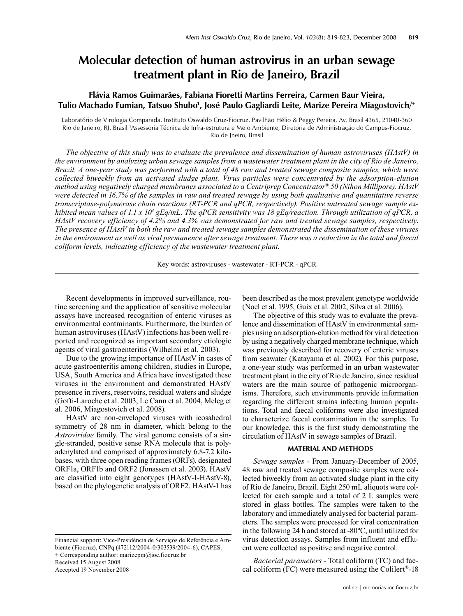# **Molecular detection of human astrovirus in an urban sewage treatment plant in Rio de Janeiro, Brazil**

# **Flávia Ramos Guimarães, Fabiana Fioretti Martins Ferreira, Carmen Baur Vieira,**  Tulio Machado Fumian, Tatsuo Shubo<sup>1</sup>, José Paulo Gagliardi Leite, Marize Pereira Miagostovich/+

Laboratório de Virologia Comparada, Instituto Oswaldo Cruz-Fiocruz, Pavilhão Hélio & Peggy Pereira, Av. Brasil 4365, 21040-360 Rio de Janeiro, RJ, Brasil 1 Assessoria Técnica de Infra-estrutura e Meio Ambiente, Diretoria de Administração do Campus-Fiocruz, Rio de Jneiro, Brasil

*The objective of this study was to evaluate the prevalence and dissemination of human astroviruses (HAstV) in the environment by analyzing urban sewage samples from a wastewater treatment plant in the city of Rio de Janeiro, Brazil. A one-year study was performed with a total of 48 raw and treated sewage composite samples, which were collected biweekly from an activated sludge plant. Virus particles were concentrated by the adsorption-elution method using negatively charged membranes associated to a Centriprep Concentrator® 50 (Nihon Millipore). HAstV were detected in 16.7% of the samples in raw and treated sewage by using both qualitative and quantitative reverse transcriptase-polymerase chain reactions (RT-PCR and qPCR, respectively). Positive untreated sewage sample ex*hibited mean values of 1.1 x 10<sup>4</sup> gEq/mL. The qPCR sensitivity was 18 gEq/reaction. Through utilization of qPCR, a *HAstV recovery efficiency of 4.2% and 4.3% was demonstrated for raw and treated sewage samples, respectively*. *The presence of HAstV in both the raw and treated sewage samples demonstrated the dissemination of these viruses*  in the environment as well as viral permanence after sewage treatment. There was a reduction in the total and faecal *coliform levels, indicating efficiency of the wastewater treatment plant.* 

Key words: astroviruses - wastewater - RT-PCR - qPCR

Recent developments in improved surveillance, routine screening and the application of sensitive molecular assays have increased recognition of enteric viruses as environmental contminants. Furthermore, the burden of human astroviruses (HAstV) infections has been well reported and recognized as important secondary etiologic agents of viral gastroenteritis (Wilhelmi et al. 2003).

Due to the growing importance of HAstV in cases of acute gastroenteritis among children, studies in Europe, USA, South America and Africa have investigated these viruses in the environment and demonstrated HAstV presence in rivers, reservoirs, residual waters and sludge (Gofti-Laroche et al. 2003, Le Cann et al. 2004, Meleg et al. 2006, Miagostovich et al. 2008).

HAstV are non-enveloped viruses with icosahedral symmetry of 28 nm in diameter, which belong to the *Astroviridae* family. The viral genome consists of a single-stranded, positive sense RNA molecule that is polyadenylated and comprised of approximately 6.8-7.2 kilobases, with three open reading frames (ORFs), designated ORF1a, ORF1b and ORF2 (Jonassen et al. 2003). HAstV are classified into eight genotypes (HAstV-1-HAstV-8), based on the phylogenetic analysis of ORF2. HAstV-1 has

Financial support: Vice-Presidência de Serviços de Referência e Ambiente (Fiocruz), CNPq (472112/2004-0/303539/2004-6), CAPES. + Corresponding author: marizepm@ioc.fiocruz.br Received 15 August 2008

Accepted 19 November 2008

been described as the most prevalent genotype worldwide (Noel et al. 1995, Guix et al. 2002, Silva et al. 2006).

The objective of this study was to evaluate the prevalence and dissemination of HAstV in environmental samples using an adsorption-elution method for viral detection by using a negatively charged membrane technique, which was previously described for recovery of enteric viruses from seawater (Katayama et al. 2002). For this purpose, a one-year study was performed in an urban wastewater treatment plant in the city of Rio de Janeiro, since residual waters are the main source of pathogenic microorganisms. Therefore, such environments provide information regarding the different strains infecting human populations. Total and faecal coliforms were also investigated to characterize faecal contamination in the samples. To our knowledge, this is the first study demonstrating the circulation of HAstV in sewage samples of Brazil.

#### **MATERIAL AND METHODS**

*Sewage samples* - From January-December of 2005, 48 raw and treated sewage composite samples were collected biweekly from an activated sludge plant in the city of Rio de Janeiro, Brazil. Eight 250 mL aliquots were collected for each sample and a total of 2 L samples were stored in glass bottles. The samples were taken to the laboratory and immediately analysed for bacterial parameters. The samples were processed for viral concentration in the following 24 h and stored at -80ºC, until utilized for virus detection assays. Samples from influent and effluent were collected as positive and negative control.

*Bacterial parameters* - Total coliform (TC) and faecal coliform (FC) were measured using the Colilert®-18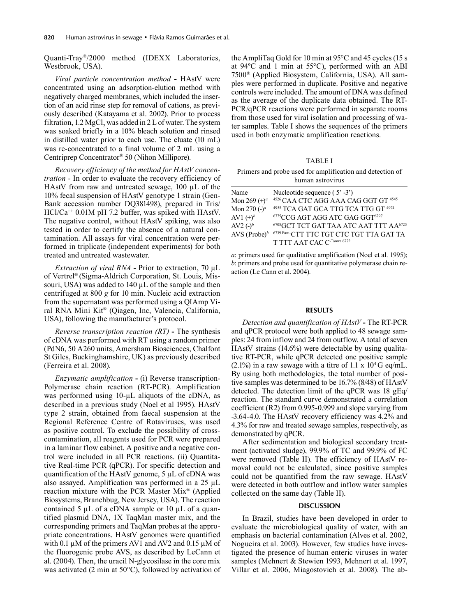Quanti-Tray®/2000 method (IDEXX Laboratories, Westbrook, USA).

*Viral particle concentration method* **-** HAstV were concentrated using an adsorption-elution method with negatively charged membranes, which included the insertion of an acid rinse step for removal of cations, as previously described (Katayama et al. 2002). Prior to process filtration,  $1.2 \text{ MgCl}_2$  was added in 2 L of water. The system was soaked briefly in a 10% bleach solution and rinsed in distilled water prior to each use. The eluate (10 mL) was re-concentrated to a final volume of 2 mL using a Centriprep Concentrator® 50 (Nihon Millipore).

*Recovery efficiency of the method for HAstV concentration* - In order to evaluate the recovery efficiency of HAstV from raw and untreated sewage, 100 µL of the 10% fecal suspension of HAstV genotype 1 strain (Gen-Bank accession number DQ381498), prepared in Tris/ HCl/Ca<sup>++</sup> 0.01M pH 7.2 buffer, was spiked with HAstV. The negative control, without HAstV spiking, was also tested in order to certify the absence of a natural contamination. All assays for viral concentration were performed in triplicate (independent experiments) for both treated and untreated wastewater.

*Extraction of viral RNA* **-** Prior to extraction, 70 µL of Vertrel® (Sigma-Aldrich Corporation, St. Louis, Missouri, USA) was added to 140 µL of the sample and then centrifuged at 800 *g* for 10 min. Nucleic acid extraction from the supernatant was performed using a QIAmp Viral RNA Mini Kit® (Qiagen, Inc, Valencia, California, USA), following the manufacturer's protocol.

*Reverse transcription reaction (RT)* **-** The synthesis of cDNA was performed with RT using a random primer (PdN6, 50 A260 units, Amersham Biosciences, Chalfont St Giles, Buckinghamshire, UK) as previously described (Ferreira et al. 2008).

*Enzymatic amplification* **-** (i) Reverse transcription-Polymerase chain reaction (RT-PCR). Amplification was performed using 10-µL aliquots of the cDNA, as described in a previous study (Noel et al 1995). HAstV type 2 strain, obtained from faecal suspension at the Regional Reference Centre of Rotaviruses, was used as positive control. To exclude the possibility of crosscontamination, all reagents used for PCR were prepared in a laminar flow cabinet. A positive and a negative control were included in all PCR reactions. (ii) Quantitative Real-time PCR (qPCR). For specific detection and quantification of the HAstV genome, 5 µL of cDNA was also assayed. Amplification was performed in a 25 µL reaction mixture with the PCR Master Mix® (Applied Biosystems, Branchbug, New Jersey, USA). The reaction contained 5  $\mu$ L of a cDNA sample or 10  $\mu$ L of a quantified plasmid DNA, 1X TaqMan master mix, and the corresponding primers and TaqMan probes at the appropriate concentrations. HAstV genomes were quantified with 0.1  $\mu$ M of the primers AV1 and AV2 and 0.15  $\mu$ M of the fluorogenic probe AVS, as described by LeCann et al. (2004). Then, the uracil N-glycosilase in the core mix was activated (2 min at 50°C), followed by activation of the AmpliTaq Gold for 10 min at 95°C and 45 cycles (15 s at 94ºC and 1 min at 55°C), performed with an ABI 7500® (Applied Biosystem, California, USA). All samples were performed in duplicate. Positive and negative controls were included. The amount of DNA was defined as the average of the duplicate data obtained. The RT-PCR/qPCR reactions were performed in separate rooms from those used for viral isolation and processing of water samples. Table I shows the sequences of the primers used in both enzymatic amplification reactions.

TABLE I

|                  |  |  |  |  | Primers and probe used for amplification and detection of |  |  |  |  |
|------------------|--|--|--|--|-----------------------------------------------------------|--|--|--|--|
| human astrovirus |  |  |  |  |                                                           |  |  |  |  |

| Name                   | Nucleotide sequence $(5' -3')$                                 |
|------------------------|----------------------------------------------------------------|
| Mon 269 $(+)^a$        | 4526 CAA CTC AGG AAA CAG GGT GT 4545                           |
| Mon 270 $(-)^a$        | 4955 TCA GAT GCA TTG TCA TTG GT 4974                           |
| AV1 $(+)$ <sup>b</sup> | <sup>6775</sup> CCG AGT AGG ATC GAG GGT <sup>6797</sup>        |
| AV2 $(-)^b$            | <sup>6708</sup> GCT TCT GAT TAA ATC AAT TTT AA <sup>6725</sup> |
| AVS (Probe) $\iota$    | 6739 Fam-CTT TTC TGT CTC TGT TTA GAT TA                        |
|                        | T TTT AAT CAC C-Tamra 6772                                     |
|                        |                                                                |

*a*: primers used for qualitative amplification (Noel et al. 1995); *b*: primers and probe used for quantitative polymerase chain reaction (Le Cann et al. 2004).

#### **Results**

*Detection and quantification of HAstV* **-** The RT-PCR and qPCR protocol were both applied to 48 sewage samples: 24 from inflow and 24 from outflow. A total of seven HAstV strains (14.6%) were detectable by using qualitative RT-PCR, while qPCR detected one positive sample  $(2.1\%)$  in a raw sewage with a titre of 1.1 x 10<sup>4</sup> G eq/mL. By using both methodologies, the total number of positive samples was determined to be 16.7% (8/48) of HAstV detected. The detection limit of the qPCR was 18 gEq/ reaction. The standard curve demonstrated a correlation coefficient (R2) from 0.995-0.999 and slope varying from -3.64-4.0. The HAstV recovery efficiency was 4.2% and 4.3% for raw and treated sewage samples, respectively, as demonstrated by qPCR.

After sedimentation and biological secondary treatment (activated sludge), 99.9% of TC and 99.9% of FC were removed (Table II). The efficiency of HAstV removal could not be calculated, since positive samples could not be quantified from the raw sewage. HAstV were detected in both outflow and inflow water samples collected on the same day (Table II).

### **Discussion**

In Brazil, studies have been developed in order to evaluate the microbiological quality of water, with an emphasis on bacterial contamination (Alves et al. 2002, Nogueira et al. 2003). However, few studies have investigated the presence of human enteric viruses in water samples (Mehnert & Stewien 1993, Mehnert et al. 1997, Villar et al. 2006, Miagostovich et al. 2008). The ab-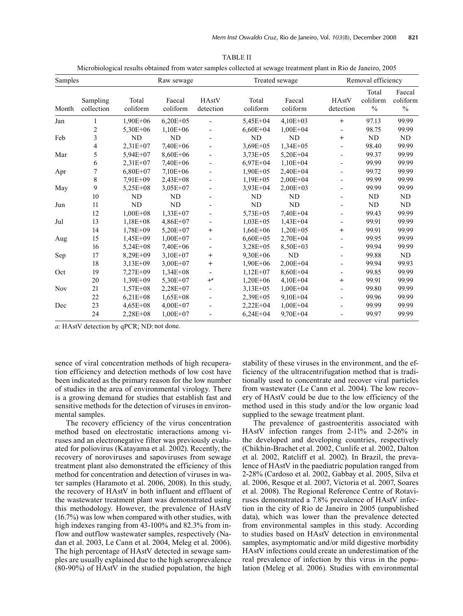| <b>TABLE II</b>                                                                                                 |
|-----------------------------------------------------------------------------------------------------------------|
| Microbiological results obtained from water samples collected at sewage treatment plant in Rio de Janeiro, 2005 |

| Samples    |                        | Raw sewage        |                    |                          |                   | Treated sewage     |                          | Removal efficiency                 |                            |  |
|------------|------------------------|-------------------|--------------------|--------------------------|-------------------|--------------------|--------------------------|------------------------------------|----------------------------|--|
| Month      | Sampling<br>collection | Total<br>coliform | Faecal<br>coliform | HAstV<br>detection       | Total<br>coliform | Faecal<br>coliform | HAstV<br>detection       | Total<br>coliform<br>$\frac{0}{0}$ | Faecal<br>coliform<br>$\%$ |  |
| Jan        | 1                      | $1,90E+06$        | $6,20E+05$         |                          | 5,45E+04          | $4,10E+03$         | $+$                      | 97.13                              | 99.99                      |  |
|            | 2                      | $5,30E+06$        | $1,10E+06$         |                          | $6,60E+04$        | $1,00E+04$         | $\overline{\phantom{0}}$ | 98.75                              | 99.99                      |  |
| Feb        | 3                      | ND                | N <sub>D</sub>     |                          | ND                | N <sub>D</sub>     | $\ddot{}$                | ND                                 | ND                         |  |
|            | 4                      | 2,31E+07          | 7,40E+06           |                          | $3,69E+05$        | $1,34E+05$         |                          | 98.40                              | 99.99                      |  |
| Mar        | 5                      | 5,94E+07          | $8.60E + 06$       |                          | $3,73E+05$        | $5,20E+04$         |                          | 99.37                              | 99.99                      |  |
|            | 6                      | $2,31E+07$        | 7,40E+06           |                          | $6.97E + 04$      | $1,10E+04$         |                          | 99.99                              | 99.99                      |  |
| Apr        | 7                      | $6,80E+07$        | $7,10E+06$         |                          | $1,90E+05$        | $2,40E+04$         |                          | 99.72                              | 99.99                      |  |
|            | 8                      | $7.91E+09$        | $2,43E+08$         |                          | $1,19E+05$        | $2,00E+04$         |                          | 99.99                              | 99.99                      |  |
| May        | 9                      | $5,25E+08$        | $3,05E+07$         |                          | $3.93E + 04$      | $2,00E+03$         |                          | 99.99                              | 99.99                      |  |
|            | 10                     | ND                | ND                 |                          | ND                | <b>ND</b>          |                          | <b>ND</b>                          | ND                         |  |
| Jun        | 11                     | <b>ND</b>         | ND                 |                          | ND                | ND                 |                          | <b>ND</b>                          | ND                         |  |
|            | 12                     | $1,00E + 08$      | $1,33E+07$         |                          | $5,73E+05$        | $7,40E+04$         | $\overline{\phantom{0}}$ | 99.43                              | 99.99                      |  |
| Jul        | 13                     | $1,18E+08$        | $4,86E+07$         |                          | $1,03E+05$        | $1,43E+04$         | ٠                        | 99.91                              | 99.99                      |  |
|            | 14                     | $1,78E+09$        | $5,20E+07$         | $\,{}^+$                 | $1,66E+06$        | $1,20E+05$         | $\, +$                   | 99.91                              | 99.99                      |  |
| Aug        | 15                     | $1,45E+09$        | $1,00E+07$         |                          | $6,60E+05$        | $2,70E+04$         |                          | 99.95                              | 99.99                      |  |
|            | 16                     | $5,24E+08$        | 7,40E+06           |                          | $3,28E+05$        | $8,50E+03$         |                          | 99.94                              | 99.99                      |  |
| Sep        | 17                     | $8,29E+09$        | $3,10E+07$         | $\ddag$                  | $9,30E+06$        | ND                 |                          | 99.88                              | ND                         |  |
|            | 18                     | $3,13E+09$        | $3,00E+07$         | $\,{}^+$                 | $1,90E+06$        | $2,00E+04$         |                          | 99.94                              | 99.93                      |  |
| Oct        | 19                     | $7,27E+09$        | $1,34E+08$         | $\overline{\phantom{a}}$ | $1,12E+07$        | 8,60E+04           | -                        | 99.85                              | 99.99                      |  |
|            | 20                     | $1,39E+09$        | 5,30E+07           | $+$ <sup>a</sup>         | $1,20E+06$        | $4,10E+04$         | $\ddot{}$                | 99.91                              | 99.99                      |  |
| <b>Nov</b> | 21                     | $1,57E+08$        | $2,28E+07$         | $\overline{\phantom{0}}$ | $3,13E+05$        | $1,00E + 04$       | $\overline{\phantom{0}}$ | 99.80                              | 99.99                      |  |
|            | 22                     | $6,21E+08$        | $1,65E+08$         |                          | $2,39E+05$        | $9,10E+04$         | $\overline{\phantom{a}}$ | 99.96                              | 99.99                      |  |
| Dec        | 23                     | $4,65E+08$        | $4,00E+07$         |                          | $2,22E+04$        | $1,00E + 04$       |                          | 99.99                              | 99.99                      |  |
|            | 24                     | $2,28E+08$        | $1,00E+07$         |                          | $6,24E+04$        | $9,70E+04$         |                          | 99.97                              | 99.99                      |  |

*a*: HAstV detection by qPCR; ND: not done.

sence of viral concentration methods of high recuperation efficiency and detection methods of low cost have been indicated as the primary reason for the low number of studies in the area of environmental virology. There is a growing demand for studies that establish fast and sensitive methods for the detection of viruses in environmental samples.

The recovery efficiency of the virus concentration method based on electrostatic interactions among viruses and an electronegative filter was previously evaluated for poliovirus (Katayama et al. 2002). Recently, the recovery of noroviruses and sapoviruses from sewage treatment plant also demonstrated the efficiency of this method for concentration and detection of viruses in water samples (Haramoto et al. 2006, 2008). In this study, the recovery of HAstV in both influent and effluent of the wastewater treatment plant was demonstrated using this methodology. However, the prevalence of HAstV (16.7%) was low when compared with other studies, with high indexes ranging from 43-100% and 82.3% from inflow and outflow wastewater samples, respectively (Nadan et al. 2003, Le Cann et al. 2004, Meleg et al. 2006). The high percentage of HAstV detected in sewage samples are usually explained due to the high seroprevalence (80-90%) of HAstV in the studied population, the high

stability of these viruses in the environment, and the efficiency of the ultracentrifugation method that is traditionally used to concentrate and recover viral particles from wastewater (Le Cann et al. 2004). The low recovery of HAstV could be due to the low efficiency of the method used in this study and/or the low organic load supplied to the sewage treatment plant.

The prevalence of gastroenteritis associated with HAstV infection ranges from 2-11% and 2-26% in the developed and developing countries, respectively (Chikhin-Brachet et al. 2002, Cunlife et al. 2002, Dalton et al. 2002, Ratcliff et al. 2002). In Brazil, the prevalence of HAstV in the paediatric population ranged from 2-28% (Cardoso et al. 2002, Gabbay et al. 2005, Silva et al. 2006, Resque et al. 2007, Victoria et al. 2007, Soares et al. 2008). The Regional Reference Centre of Rotaviruses demonstrated a 7.8% prevalence of HAstV infection in the city of Rio de Janeiro in 2005 (unpublished data), which was lower than the prevalence detected from environmental samples in this study. According to studies based on HAstV detection in environmental samples, asymptomatic and/or mild digestive morbidity HAstV infections could create an underestimation of the real prevalence of infection by this virus in the population (Meleg et al. 2006). Studies with environmental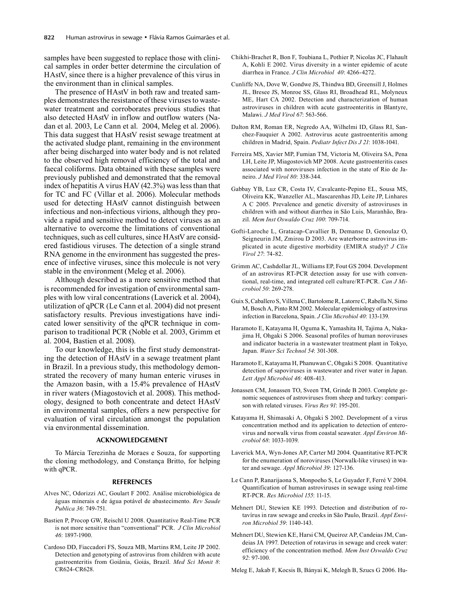samples have been suggested to replace those with clinical samples in order better determine the circulation of HAstV, since there is a higher prevalence of this virus in the environment than in clinical samples.

The presence of HAstV in both raw and treated samples demonstrates the resistance of these viruses to wastewater treatment and corroborates previous studies that also detected HAstV in inflow and outflow waters (Nadan et al. 2003, Le Cann et al. 2004, Meleg et al. 2006). This data suggest that HAstV resist sewage treatment at the activated sludge plant, remaining in the environment after being discharged into water body and is not related to the observed high removal efficiency of the total and faecal coliforms. Data obtained with these samples were previously published and demonstrated that the removal index of hepatitis A virus HAV (42.3%) was less than that for TC and FC (Villar et al. 2006). Molecular methods used for detecting HAstV cannot distinguish between infectious and non-infectious virions, although they provide a rapid and sensitive method to detect viruses as an alternative to overcome the limitations of conventional techniques, such as cell cultures, since HAstV are considered fastidious viruses. The detection of a single strand RNA genome in the environment has suggested the presence of infective viruses, since this molecule is not very stable in the environment (Meleg et al. 2006).

Although described as a more sensitive method that is recommended for investigation of environmental samples with low viral concentrations (Laverick et al. 2004), utilization of qPCR (Le Cann et al. 2004) did not present satisfactory results. Previous investigations have indicated lower sensitivity of the qPCR technique in comparison to traditional PCR (Noble et al. 2003, Grimm et al. 2004, Bastien et al. 2008).

To our knowledge, this is the first study demonstrating the detection of HAstV in a sewage treatment plant in Brazil. In a previous study, this methodology demonstrated the recovery of many human enteric viruses in the Amazon basin, with a 15.4% prevalence of HAstV in river waters (Miagostovich et al. 2008). This methodology, designed to both concentrate and detect HAstV in environmental samples, offers a new perspective for evaluation of viral circulation amongst the population via environmental dissemination.

## **ACKNOWLEDGEMENT**

To Márcia Terezinha de Moraes e Souza, for supporting the cloning methodology, and Constança Britto, for helping with qPCR.

#### **REFERENCES**

- Alves NC, Odorizzi AC, Goulart F 2002. Análise microbiológica de águas minerais e de água potável de abastecimento. *Rev Saude Publica 36*: 749-751.
- Bastien P, Procop GW, Reischl U 2008. Quantitative Real-Time PCR is not more sensitive than "conventional" PCR. *J Clin Microbiol 46*: 1897-1900.
- Cardoso DD, Fiaccadori FS, Souza MB, Martins RM, Leite JP 2002. Detection and genotyping of astrovirus from children with acute gastroenteritis from Goiânia, Goiás, Brazil. *Med Sci Monit 8*: CR624-CR628.
- Chikhi-Brachet R, Bon F, Toubiana L, Pothier P, Nicolas JC, Flahault A, Kohli E 2002. Virus diversity in a winter epidemic of acute diarrhea in France. *J Clin Microbiol 40*: 4266-4272.
- Cunliffe NA, Dove W, Gondwe JS, Thindwa BD, Greensill J, Holmes JL, Bresee JS, Monroe SS, Glass RI, Broadhead RL, Molyneux ME, Hart CA 2002. Detection and characterization of human astroviruses in children with acute gastroenteritis in Blantyre, Malawi. *J Med Virol 67*: 563-566.
- Dalton RM, Roman ER, Negredo AA, Wilhelmi ID, Glass RI, Sanchez-Fauquier A 2002. Astrovirus acute gastroenteritis among children in Madrid, Spain. *Pediatr Infect Dis J 21*: 1038-1041.
- Ferreira MS, Xavier MP, Fumian TM, Victoria M, Oliveira SA, Pena LH, Leite JP, Miagostovich MP 2008. Acute gastroenteritis cases associated with noroviruses infection in the state of Rio de Janeiro. *J Med Virol 80*: 338-344.
- Gabbay YB, Luz CR, Costa IV, Cavalcante-Pepino EL, Sousa MS, Oliveira KK, Wanzeller AL, Mascarenhas JD, Leite JP, Linhares A C 2005. Prevalence and genetic diversity of astroviruses in children with and without diarrhea in São Luis, Maranhão, Brazil. *Mem Inst Oswaldo Cruz 100*: 709-714.
- Gofti-Laroche L, Gratacap-Cavallier B, Demanse D, Genoulaz O, Seigneurin JM, Zmirou D 2003. Are waterborne astrovirus implicated in acute digestive morbidity (EMIRA study)? *J Clin Virol 27*: 74-82.
- Grimm AC, Cashdollar JL, Williams EP, Fout GS 2004. Development of an astrovirus RT-PCR detection assay for use with conventional, real-time, and integrated cell culture/RT-PCR. *Can J Microbiol 50*: 269-278.
- Guix S, Caballero S, Villena C, Bartolome R, Latorre C, Rabella N, Simo M, Bosch A, Pinto RM 2002. Molecular epidemiology of astrovirus infection in Barcelona, Spain. *J Clin Microbiol 40*: 133-139.
- Haramoto E, Katayama H, Oguma K, Yamashita H, Tajima A, Nakajima H, Ohgaki S 2006. Seasonal profiles of human noroviruses and indicator bacteria in a wastewater treatment plant in Tokyo, Japan. *Water Sci Technol 54*: 301-308.
- Haramoto E, Katayama H, Phanuwan C, Ohgaki S 2008. Quantitative detection of sapoviruses in wastewater and river water in Japan. *Lett Appl Microbiol 46*: 408-413.
- Jonassen CM, Jonassen TO, Sveen TM, Grinde B 2003. Complete genomic sequences of astroviruses from sheep and turkey: comparison with related viruses. *Virus Res 91*: 195-201.
- Katayama H, Shimasaki A, Ohgaki S 2002. Development of a virus concentration method and its application to detection of enterovirus and norwalk virus from coastal seawater. *Appl Environ Microbiol 68*: 1033-1039.
- Laverick MA, Wyn-Jones AP, Carter MJ 2004. Quantitative RT-PCR for the enumeration of noroviruses (Norwalk-like viruses) in water and sewage. *Appl Microbiol 39*: 127-136.
- Le Cann P, Ranarijaona S, Monpoeho S, Le Guyader F, Ferré V 2004. Quantification of human astroviruses in sewage using real-time RT-PCR. *Res Microbiol 155*: 11-15.
- Mehnert DU, Stewien KE 1993. Detection and distribution of rotavírus in raw sewage and creeks in São Paulo, Brazil. *Appl Environ Microbiol 59*: 1140-143.
- Mehnert DU, Stewien KE, Harsi CM, Queiroz AP, Candeias JM, Candeias JA 1997. Detection of rotavirus in sewage and creek water: efficiency of the concentration method. *Mem Inst Oswaldo Cruz 92*: 97-100.

Meleg E, Jakab F, Kocsis B, Bányai K, Melegh B, Szucs G 2006. Hu-